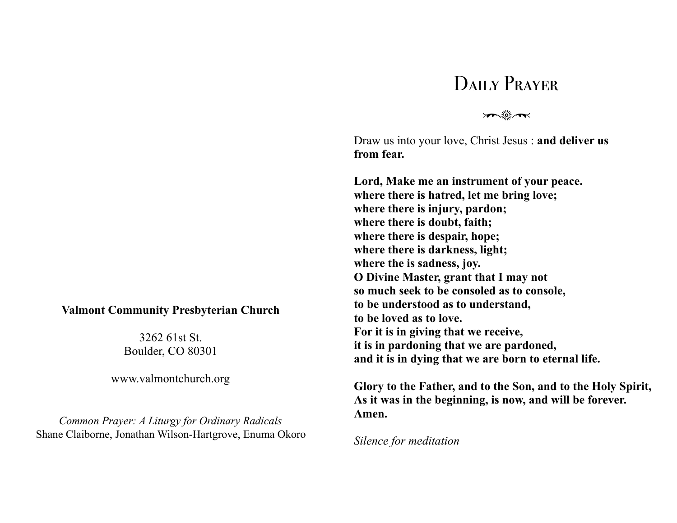## DAILY PRAYER

 $\mathcal{F}$ 

Draw us into your love, Christ Jesus : **and deliver us from fear.** 

**Lord, Make me an instrument of your peace. where there is hatred, let me bring love; where there is injury, pardon; where there is doubt, faith; where there is despair, hope; where there is darkness, light; where the is sadness, joy. O Divine Master, grant that I may not so much seek to be consoled as to console, to be understood as to understand, to be loved as to love. For it is in giving that we receive, it is in pardoning that we are pardoned, and it is in dying that we are born to eternal life.** 

**Glory to the Father, and to the Son, and to the Holy Spirit, As it was in the beginning, is now, and will be forever. Amen.** 

*Silence for meditation* 

## **Valmont Community Presbyterian Church**

3262 61st St. Boulder, CO 80301

www.valmontchurch.org

*Common Prayer: A Liturgy for Ordinary Radicals*  Shane Claiborne, Jonathan Wilson-Hartgrove, Enuma Okoro